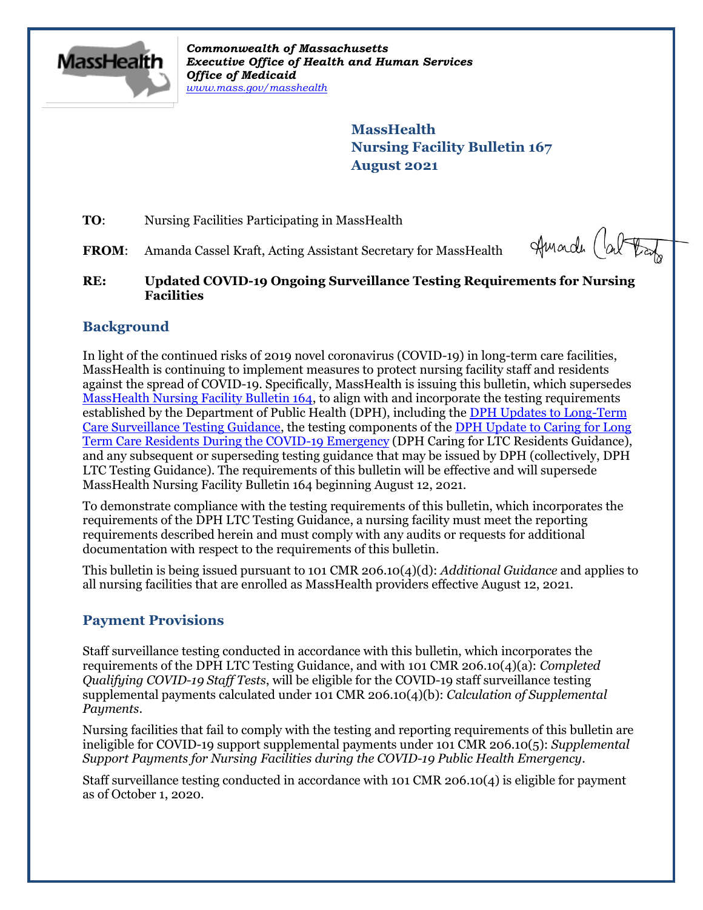

*Commonwealth of Massachusetts Executive Office of Health and Human Services Office of Medicaid [www.mass.gov/masshealth](http://www.mass.gov/masshealth)*

> **MassHealth Nursing Facility Bulletin 167 August 2021**

**TO:** Nursing Facilities Participating in MassHealth

FROM: Amanda Cassel Kraft, Acting Assistant Secretary for MassHealth

Amarch (about

#### **RE: Updated COVID-19 Ongoing Surveillance Testing Requirements for Nursing Facilities**

## **Background**

In light of the continued risks of 2019 novel coronavirus (COVID-19) in long-term care facilities, MassHealth is continuing to implement measures to protect nursing facility staff and residents against the spread of COVID-19. Specifically, MassHealth is issuing this bulletin, which supersedes [MassHealth Nursing Facility Bulletin 164,](https://www.mass.gov/doc/nursing-facility-bulletin-164-updated-covid-19-ongoing-surveillance-testing-requirements-for-nursing-facilities-0/download) to align with and incorporate the testing requirements established by the Department of Public Health (DPH), including the [DPH Updates to Long-Term](https://www.mass.gov/doc/updates-to-long-term-care-surveillance-testing-8-4-2021/download)  [Care Surveillance Testing Guidance,](https://www.mass.gov/doc/updates-to-long-term-care-surveillance-testing-8-4-2021/download) the testing components of the [DPH Update to Caring for Long](https://www.mass.gov/doc/march-update-to-caring-for-long-term-care-residents-during-the-covid-19-emergency/download)  [Term Care Residents During the COVID-19 Emergency](https://www.mass.gov/doc/march-update-to-caring-for-long-term-care-residents-during-the-covid-19-emergency/download) (DPH Caring for LTC Residents Guidance), and any subsequent or superseding testing guidance that may be issued by DPH (collectively, DPH LTC Testing Guidance). The requirements of this bulletin will be effective and will supersede MassHealth Nursing Facility Bulletin 164 beginning August 12, 2021.

To demonstrate compliance with the testing requirements of this bulletin, which incorporates the requirements of the DPH LTC Testing Guidance, a nursing facility must meet the reporting requirements described herein and must comply with any audits or requests for additional documentation with respect to the requirements of this bulletin.

This bulletin is being issued pursuant to 101 CMR 206.10(4)(d): *Additional Guidance* and applies to all nursing facilities that are enrolled as MassHealth providers effective August 12, 2021.

## **Payment Provisions**

Staff surveillance testing conducted in accordance with this bulletin, which incorporates the requirements of the DPH LTC Testing Guidance, and with 101 CMR 206.10(4)(a): *Completed Qualifying COVID-19 Staff Tests*, will be eligible for the COVID-19 staff surveillance testing supplemental payments calculated under 101 CMR 206.10(4)(b): *Calculation of Supplemental Payments*.

Nursing facilities that fail to comply with the testing and reporting requirements of this bulletin are ineligible for COVID-19 support supplemental payments under 101 CMR 206.10(5): *Supplemental Support Payments for Nursing Facilities during the COVID-19 Public Health Emergency*.

Staff surveillance testing conducted in accordance with 101 CMR 206.10(4) is eligible for payment as of October 1, 2020.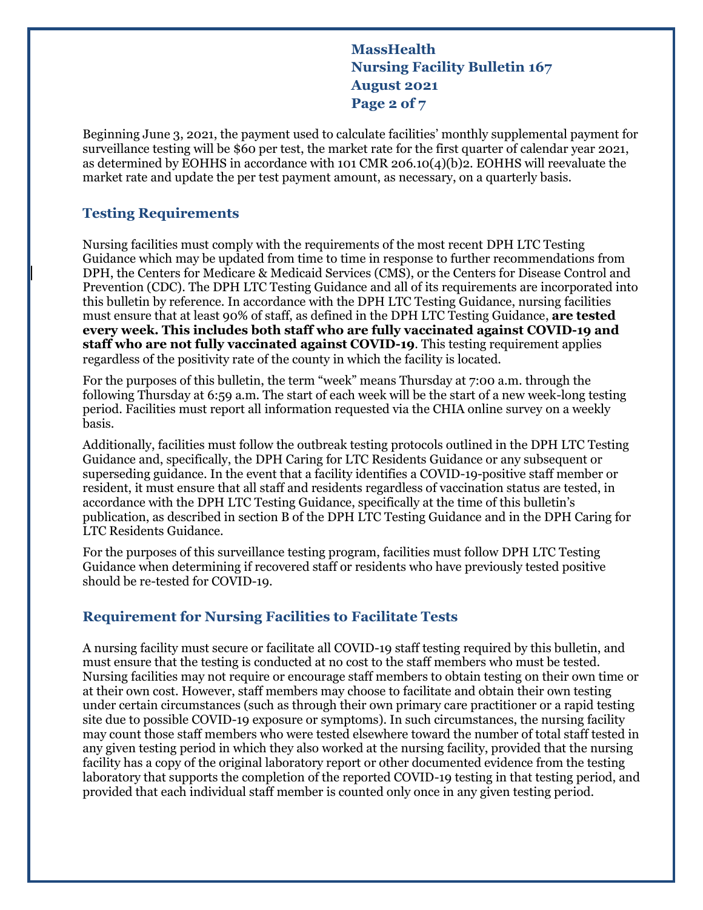**MassHealth Nursing Facility Bulletin 167 August 2021 Page 2 of 7**

Beginning June 3, 2021, the payment used to calculate facilities' monthly supplemental payment for surveillance testing will be \$60 per test, the market rate for the first quarter of calendar year 2021, as determined by EOHHS in accordance with 101 CMR 206.10(4)(b)2. EOHHS will reevaluate the market rate and update the per test payment amount, as necessary, on a quarterly basis.

#### **Testing Requirements**

Nursing facilities must comply with the requirements of the most recent DPH LTC Testing Guidance which may be updated from time to time in response to further recommendations from DPH, the Centers for Medicare & Medicaid Services (CMS), or the Centers for Disease Control and Prevention (CDC). The DPH LTC Testing Guidance and all of its requirements are incorporated into this bulletin by reference. In accordance with the DPH LTC Testing Guidance, nursing facilities must ensure that at least 90% of staff, as defined in the DPH LTC Testing Guidance, **are tested every week. This includes both staff who are fully vaccinated against COVID-19 and staff who are not fully vaccinated against COVID-19**. This testing requirement applies regardless of the positivity rate of the county in which the facility is located.

For the purposes of this bulletin, the term "week" means Thursday at 7:00 a.m. through the following Thursday at 6:59 a.m. The start of each week will be the start of a new week-long testing period. Facilities must report all information requested via the CHIA online survey on a weekly basis.

Additionally, facilities must follow the outbreak testing protocols outlined in the DPH LTC Testing Guidance and, specifically, the DPH Caring for LTC Residents Guidance or any subsequent or superseding guidance. In the event that a facility identifies a COVID-19-positive staff member or resident, it must ensure that all staff and residents regardless of vaccination status are tested, in accordance with the DPH LTC Testing Guidance, specifically at the time of this bulletin's publication, as described in section B of the DPH LTC Testing Guidance and in the DPH Caring for LTC Residents Guidance.

For the purposes of this surveillance testing program, facilities must follow DPH LTC Testing Guidance when determining if recovered staff or residents who have previously tested positive should be re-tested for COVID-19.

#### **Requirement for Nursing Facilities to Facilitate Tests**

A nursing facility must secure or facilitate all COVID-19 staff testing required by this bulletin, and must ensure that the testing is conducted at no cost to the staff members who must be tested. Nursing facilities may not require or encourage staff members to obtain testing on their own time or at their own cost. However, staff members may choose to facilitate and obtain their own testing under certain circumstances (such as through their own primary care practitioner or a rapid testing site due to possible COVID-19 exposure or symptoms). In such circumstances, the nursing facility may count those staff members who were tested elsewhere toward the number of total staff tested in any given testing period in which they also worked at the nursing facility, provided that the nursing facility has a copy of the original laboratory report or other documented evidence from the testing laboratory that supports the completion of the reported COVID-19 testing in that testing period, and provided that each individual staff member is counted only once in any given testing period.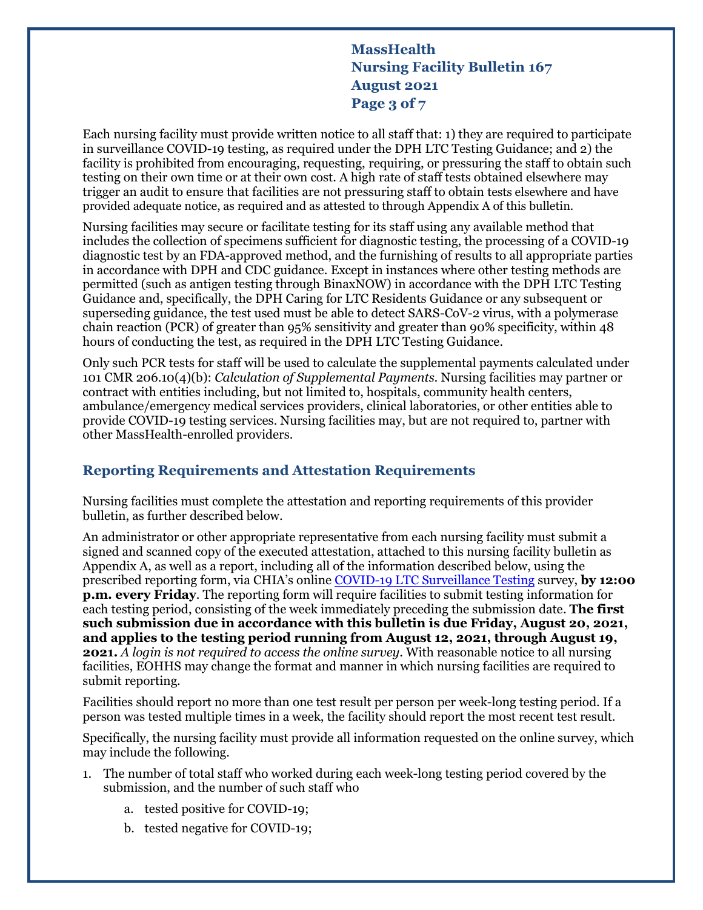# **MassHealth Nursing Facility Bulletin 167 August 2021 Page 3 of 7**

Each nursing facility must provide written notice to all staff that: 1) they are required to participate in surveillance COVID-19 testing, as required under the DPH LTC Testing Guidance; and 2) the facility is prohibited from encouraging, requesting, requiring, or pressuring the staff to obtain such testing on their own time or at their own cost. A high rate of staff tests obtained elsewhere may trigger an audit to ensure that facilities are not pressuring staff to obtain tests elsewhere and have provided adequate notice, as required and as attested to through Appendix A of this bulletin.

Nursing facilities may secure or facilitate testing for its staff using any available method that includes the collection of specimens sufficient for diagnostic testing, the processing of a COVID-19 diagnostic test by an FDA-approved method, and the furnishing of results to all appropriate parties in accordance with DPH and CDC guidance. Except in instances where other testing methods are permitted (such as antigen testing through BinaxNOW) in accordance with the DPH LTC Testing Guidance and, specifically, the DPH Caring for LTC Residents Guidance or any subsequent or superseding guidance, the test used must be able to detect SARS-CoV-2 virus, with a polymerase chain reaction (PCR) of greater than 95% sensitivity and greater than 90% specificity, within 48 hours of conducting the test, as required in the DPH LTC Testing Guidance.

Only such PCR tests for staff will be used to calculate the supplemental payments calculated under 101 CMR 206.10(4)(b): *Calculation of Supplemental Payments.* Nursing facilities may partner or contract with entities including, but not limited to, hospitals, community health centers, ambulance/emergency medical services providers, clinical laboratories, or other entities able to provide COVID-19 testing services. Nursing facilities may, but are not required to, partner with other MassHealth-enrolled providers.

## **Reporting Requirements and Attestation Requirements**

Nursing facilities must complete the attestation and reporting requirements of this provider bulletin, as further described below.

An administrator or other appropriate representative from each nursing facility must submit a signed and scanned copy of the executed attestation, attached to this nursing facility bulletin as Appendix A, as well as a report, including all of the information described below, using the prescribed reporting form, via CHIA's online [COVID-19 LTC Surveillance Testing](https://survey.alchemer.com/s3/6242598/COVID-Surveillance-Testing-v2) survey, **by 12:00 p.m. every Friday**. The reporting form will require facilities to submit testing information for each testing period, consisting of the week immediately preceding the submission date. **The first such submission due in accordance with this bulletin is due Friday, August 20, 2021, and applies to the testing period running from August 12, 2021, through August 19, 2021.** *A login is not required to access the online survey*. With reasonable notice to all nursing facilities, EOHHS may change the format and manner in which nursing facilities are required to submit reporting.

Facilities should report no more than one test result per person per week-long testing period. If a person was tested multiple times in a week, the facility should report the most recent test result.

Specifically, the nursing facility must provide all information requested on the online survey, which may include the following.

- 1. The number of total staff who worked during each week-long testing period covered by the submission, and the number of such staff who
	- a. tested positive for COVID-19;
	- b. tested negative for COVID-19;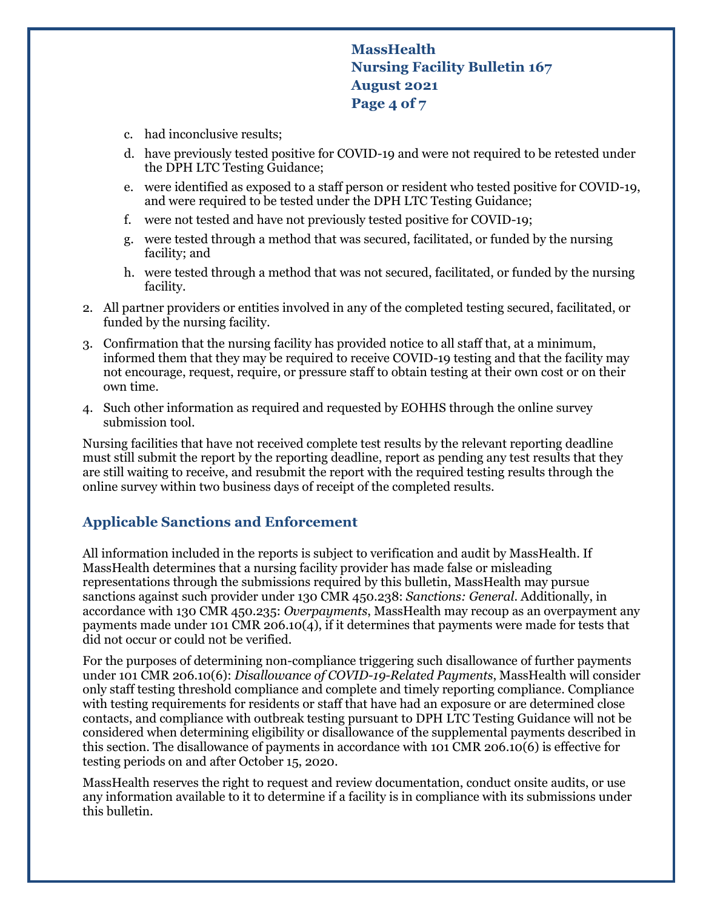# **MassHealth Nursing Facility Bulletin 167 August 2021 Page 4 of 7**

- c. had inconclusive results;
- d. have previously tested positive for COVID-19 and were not required to be retested under the DPH LTC Testing Guidance;
- e. were identified as exposed to a staff person or resident who tested positive for COVID-19, and were required to be tested under the DPH LTC Testing Guidance;
- f. were not tested and have not previously tested positive for COVID-19;
- g. were tested through a method that was secured, facilitated, or funded by the nursing facility; and
- h. were tested through a method that was not secured, facilitated, or funded by the nursing facility.
- 2. All partner providers or entities involved in any of the completed testing secured, facilitated, or funded by the nursing facility.
- 3. Confirmation that the nursing facility has provided notice to all staff that, at a minimum, informed them that they may be required to receive COVID-19 testing and that the facility may not encourage, request, require, or pressure staff to obtain testing at their own cost or on their own time.
- 4. Such other information as required and requested by EOHHS through the online survey submission tool.

Nursing facilities that have not received complete test results by the relevant reporting deadline must still submit the report by the reporting deadline, report as pending any test results that they are still waiting to receive, and resubmit the report with the required testing results through the online survey within two business days of receipt of the completed results.

## **Applicable Sanctions and Enforcement**

All information included in the reports is subject to verification and audit by MassHealth. If MassHealth determines that a nursing facility provider has made false or misleading representations through the submissions required by this bulletin, MassHealth may pursue sanctions against such provider under 130 CMR 450.238: *Sanctions: General*. Additionally, in accordance with 130 CMR 450.235: *Overpayments*, MassHealth may recoup as an overpayment any payments made under 101 CMR 206.10(4), if it determines that payments were made for tests that did not occur or could not be verified.

For the purposes of determining non-compliance triggering such disallowance of further payments under 101 CMR 206.10(6): *Disallowance of COVID-19-Related Payments*, MassHealth will consider only staff testing threshold compliance and complete and timely reporting compliance. Compliance with testing requirements for residents or staff that have had an exposure or are determined close contacts, and compliance with outbreak testing pursuant to DPH LTC Testing Guidance will not be considered when determining eligibility or disallowance of the supplemental payments described in this section. The disallowance of payments in accordance with 101 CMR 206.10(6) is effective for testing periods on and after October 15, 2020.

MassHealth reserves the right to request and review documentation, conduct onsite audits, or use any information available to it to determine if a facility is in compliance with its submissions under this bulletin.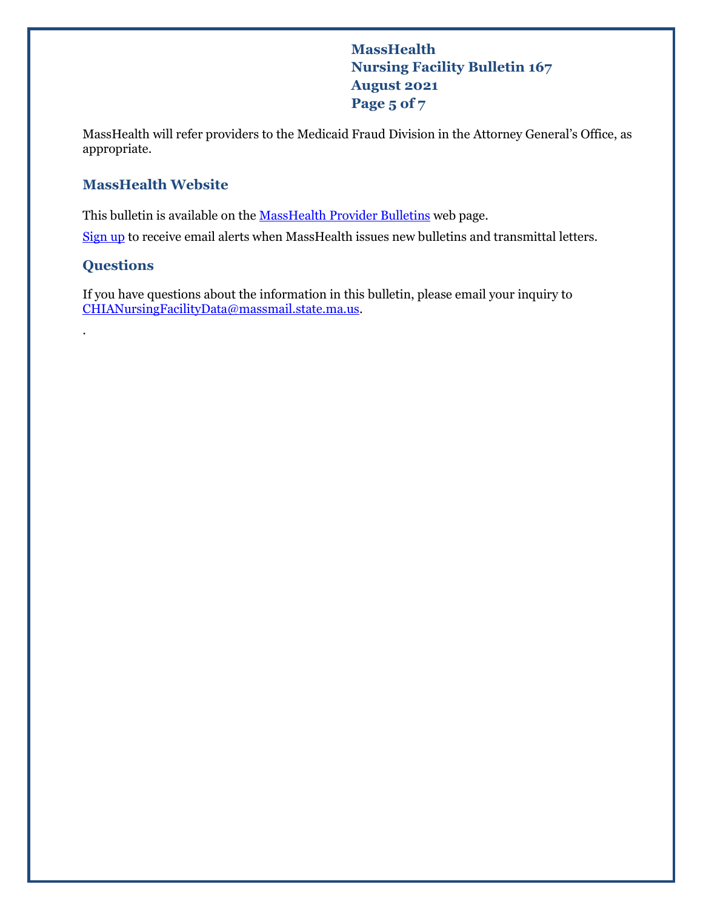**MassHealth Nursing Facility Bulletin 167 August 2021 Page 5 of 7**

MassHealth will refer providers to the Medicaid Fraud Division in the Attorney General's Office, as appropriate.

# **MassHealth Website**

This bulletin is available on th[e MassHealth Provider Bulletins](http://www.mass.gov/masshealth-provider-bulletins) web page.

[Sign up](https://www.mass.gov/forms/email-notifications-for-provider-bulletins-and-transmittal-letters) to receive email alerts when MassHealth issues new bulletins and transmittal letters.

## **Questions**

.

If you have questions about the information in this bulletin, please email your inquiry to [CHIANursingFacilityData@massmail.state.ma.us.](mailto:CHIANursingFacilityData@massmail.state.ma.us)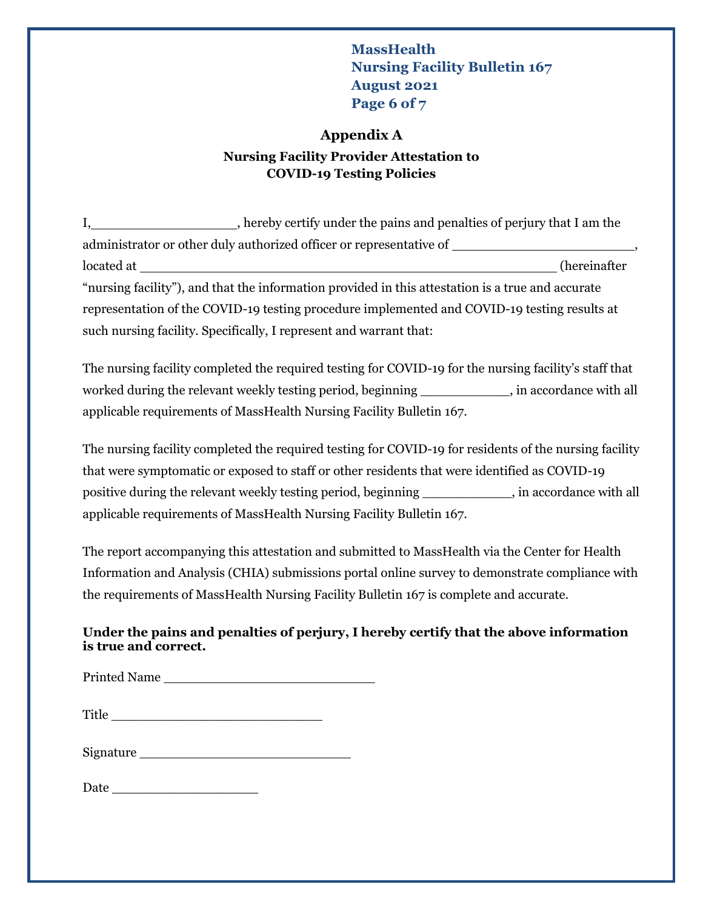# **MassHealth Nursing Facility Bulletin 167 August 2021 Page 6 of 7**

### **Appendix A**

## **Nursing Facility Provider Attestation to COVID-19 Testing Policies**

I, hereby certify under the pains and penalties of perjury that I am the administrator or other duly authorized officer or representative of , located at (hereinafter "nursing facility"), and that the information provided in this attestation is a true and accurate representation of the COVID-19 testing procedure implemented and COVID-19 testing results at such nursing facility. Specifically, I represent and warrant that:

The nursing facility completed the required testing for COVID-19 for the nursing facility's staff that worked during the relevant weekly testing period, beginning \_\_\_\_\_\_\_\_\_\_\_, in accordance with all applicable requirements of MassHealth Nursing Facility Bulletin 167.

The nursing facility completed the required testing for COVID-19 for residents of the nursing facility that were symptomatic or exposed to staff or other residents that were identified as COVID-19 positive during the relevant weekly testing period, beginning \_\_\_\_\_\_\_\_\_\_\_, in accordance with all applicable requirements of MassHealth Nursing Facility Bulletin 167.

The report accompanying this attestation and submitted to MassHealth via the Center for Health Information and Analysis (CHIA) submissions portal online survey to demonstrate compliance with the requirements of MassHealth Nursing Facility Bulletin 167 is complete and accurate.

#### **Under the pains and penalties of perjury, I hereby certify that the above information is true and correct.**

Printed Name \_\_\_\_\_\_\_\_\_\_\_\_\_\_\_\_\_\_\_\_\_\_\_\_\_\_

Title  $\Box$ 

Signature \_\_\_\_\_\_\_\_\_\_\_\_\_\_\_\_\_\_\_\_\_\_\_\_\_\_

Date  $\Box$